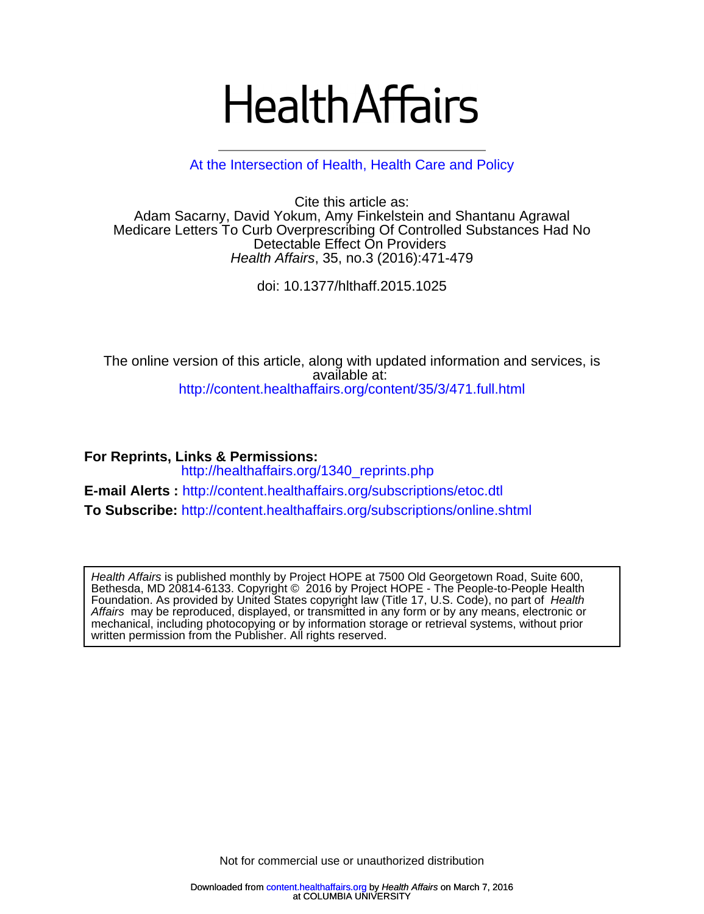# **Health Affairs**

[At the Intersection of Health, Health Care and Policy](http://www.healthaffairs.org)

Health Affairs, 35, no.3 (2016):471-479 Detectable Effect On Providers Medicare Letters To Curb Overprescribing Of Controlled Substances Had No Adam Sacarny, David Yokum, Amy Finkelstein and Shantanu Agrawal Cite this article as:

doi: 10.1377/hlthaff.2015.1025

<http://content.healthaffairs.org/content/35/3/471.full.html> available at: The online version of this article, along with updated information and services, is

**For Reprints, Links & Permissions:**  [http://healthaffairs.org/1340\\_reprints.php](http://healthaffairs.org/1340_reprints.php) **E-mail Alerts :** <http://content.healthaffairs.org/subscriptions/etoc.dtl> **To Subscribe:** <http://content.healthaffairs.org/subscriptions/online.shtml>

written permission from the Publisher. All rights reserved. mechanical, including photocopying or by information storage or retrieval systems, without prior Affairs may be reproduced, displayed, or transmitted in any form or by any means, electronic or Foundation. As provided by United States copyright law (Title 17, U.S. Code), no part of Health Bethesda, MD 20814-6133. Copyright © 2016 by Project HOPE - The People-to-People Health Health Affairs is published monthly by Project HOPE at 7500 Old Georgetown Road, Suite 600,

Not for commercial use or unauthorized distribution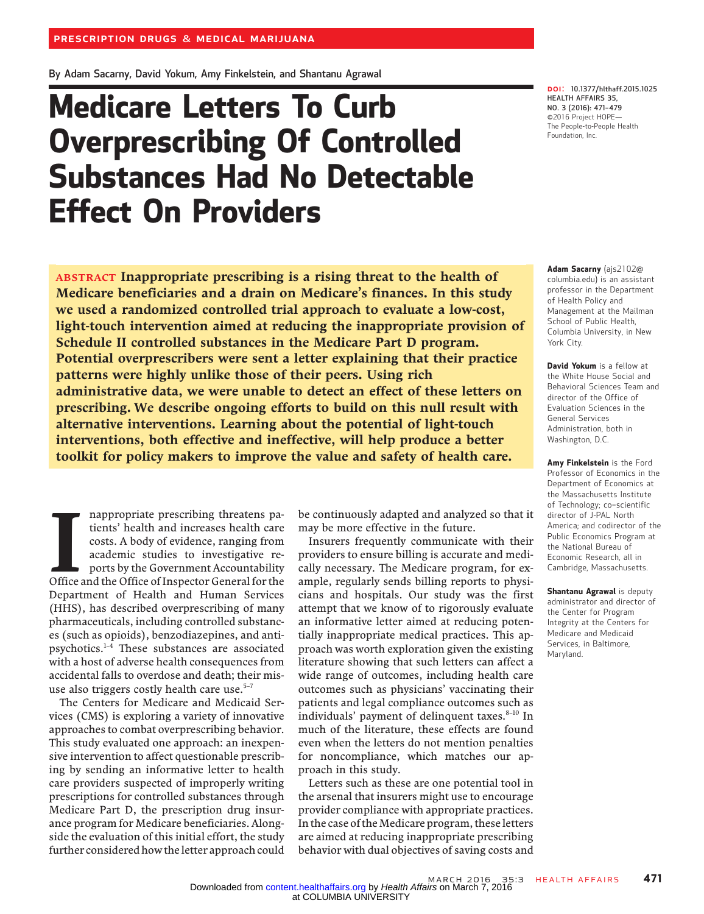By Adam Sacarny, David Yokum, Amy Finkelstein, and Shantanu Agrawal

## Medicare Letters To Curb Overprescribing Of Controlled Substances Had No Detectable Effect On Providers

DOI: 10.1377/hlthaff.2015.1025 HEALTH AFFAIRS 35, NO. 3 (2016): 471–<sup>479</sup> ©2016 Project HOPE— The People-to-People Health Foundation, Inc.

ABSTRACT Inappropriate prescribing is a rising threat to the health of Medicare beneficiaries and a drain on Medicare's finances. In this study we used a randomized controlled trial approach to evaluate a low-cost, light-touch intervention aimed at reducing the inappropriate provision of Schedule II controlled substances in the Medicare Part D program. Potential overprescribers were sent a letter explaining that their practice patterns were highly unlike those of their peers. Using rich administrative data, we were unable to detect an effect of these letters on prescribing. We describe ongoing efforts to build on this null result with alternative interventions. Learning about the potential of light-touch interventions, both effective and ineffective, will help produce a better toolkit for policy makers to improve the value and safety of health care.

nappropriate prescribing threatens pa-<br>tients' health and increases health care<br>costs. A body of evidence, ranging from<br>academic studies to investigative re-<br>ports by the Government Accountability<br>Office and the Office of nappropriate prescribing threatens patients' health and increases health care costs. A body of evidence, ranging from academic studies to investigative reports by the Government Accountability Department of Health and Human Services (HHS), has described overprescribing of many pharmaceuticals, including controlled substances (such as opioids), benzodiazepines, and antipsychotics.1–<sup>4</sup> These substances are associated with a host of adverse health consequences from accidental falls to overdose and death; their misuse also triggers costly health care use. $5-7$ 

The Centers for Medicare and Medicaid Services (CMS) is exploring a variety of innovative approaches to combat overprescribing behavior. This study evaluated one approach: an inexpensive intervention to affect questionable prescribing by sending an informative letter to health care providers suspected of improperly writing prescriptions for controlled substances through Medicare Part D, the prescription drug insurance program for Medicare beneficiaries. Alongside the evaluation of this initial effort, the study further considered how the letter approach could

be continuously adapted and analyzed so that it may be more effective in the future.

Insurers frequently communicate with their providers to ensure billing is accurate and medically necessary. The Medicare program, for example, regularly sends billing reports to physicians and hospitals. Our study was the first attempt that we know of to rigorously evaluate an informative letter aimed at reducing potentially inappropriate medical practices. This approach was worth exploration given the existing literature showing that such letters can affect a wide range of outcomes, including health care outcomes such as physicians' vaccinating their patients and legal compliance outcomes such as individuals' payment of delinquent taxes.<sup>8-10</sup> In much of the literature, these effects are found even when the letters do not mention penalties for noncompliance, which matches our approach in this study.

Letters such as these are one potential tool in the arsenal that insurers might use to encourage provider compliance with appropriate practices. In the case of the Medicare program, these letters are aimed at reducing inappropriate prescribing behavior with dual objectives of saving costs and Adam Sacarny (ajs2102@ columbia.edu) is an assistant professor in the Department of Health Policy and Management at the Mailman School of Public Health, Columbia University, in New York City.

David Yokum is a fellow at the White House Social and Behavioral Sciences Team and director of the Office of Evaluation Sciences in the General Services Administration, both in Washington, D.C.

Amy Finkelstein is the Ford Professor of Economics in the Department of Economics at the Massachusetts Institute of Technology; co–scientific director of J-PAL North America; and codirector of the Public Economics Program at the National Bureau of Economic Research, all in Cambridge, Massachusetts.

Shantanu Agrawal is deputy administrator and director of the Center for Program Integrity at the Centers for Medicare and Medicaid Services, in Baltimore, Maryland.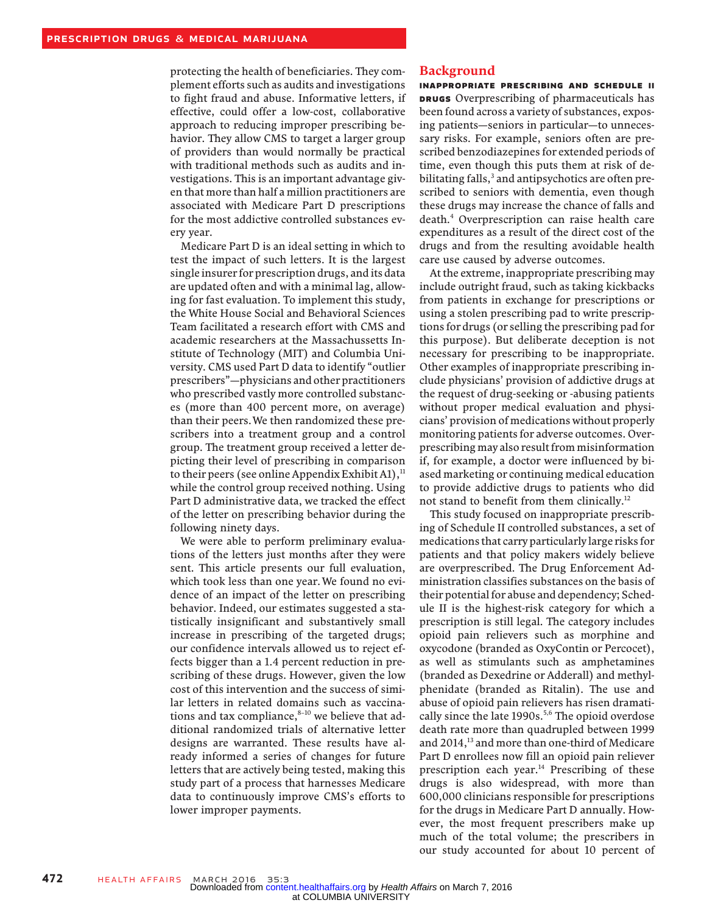protecting the health of beneficiaries. They complement efforts such as audits and investigations to fight fraud and abuse. Informative letters, if effective, could offer a low-cost, collaborative approach to reducing improper prescribing behavior. They allow CMS to target a larger group of providers than would normally be practical with traditional methods such as audits and investigations. This is an important advantage given that more than half a million practitioners are associated with Medicare Part D prescriptions for the most addictive controlled substances every year.

Medicare Part D is an ideal setting in which to test the impact of such letters. It is the largest single insurer for prescription drugs, and its data are updated often and with a minimal lag, allowing for fast evaluation. To implement this study, the White House Social and Behavioral Sciences Team facilitated a research effort with CMS and academic researchers at the Massachussetts Institute of Technology (MIT) and Columbia University. CMS used Part D data to identify "outlier prescribers"—physicians and other practitioners who prescribed vastly more controlled substances (more than 400 percent more, on average) than their peers.We then randomized these prescribers into a treatment group and a control group. The treatment group received a letter depicting their level of prescribing in comparison to their peers (see online Appendix Exhibit A1), $<sup>11</sup>$ </sup> while the control group received nothing. Using Part D administrative data, we tracked the effect of the letter on prescribing behavior during the following ninety days.

We were able to perform preliminary evaluations of the letters just months after they were sent. This article presents our full evaluation, which took less than one year.We found no evidence of an impact of the letter on prescribing behavior. Indeed, our estimates suggested a statistically insignificant and substantively small increase in prescribing of the targeted drugs; our confidence intervals allowed us to reject effects bigger than a 1.4 percent reduction in prescribing of these drugs. However, given the low cost of this intervention and the success of similar letters in related domains such as vaccinations and tax compliance, $8-10$  we believe that additional randomized trials of alternative letter designs are warranted. These results have already informed a series of changes for future letters that are actively being tested, making this study part of a process that harnesses Medicare data to continuously improve CMS's efforts to lower improper payments.

#### **Background**

Inappropriate Prescribing And Schedule II Drugs Overprescribing of pharmaceuticals has been found across a variety of substances, exposing patients—seniors in particular—to unnecessary risks. For example, seniors often are prescribed benzodiazepines for extended periods of time, even though this puts them at risk of debilitating falls,<sup>3</sup> and antipsychotics are often prescribed to seniors with dementia, even though these drugs may increase the chance of falls and death.4 Overprescription can raise health care expenditures as a result of the direct cost of the drugs and from the resulting avoidable health care use caused by adverse outcomes.

At the extreme, inappropriate prescribing may include outright fraud, such as taking kickbacks from patients in exchange for prescriptions or using a stolen prescribing pad to write prescriptions for drugs (or selling the prescribing pad for this purpose). But deliberate deception is not necessary for prescribing to be inappropriate. Other examples of inappropriate prescribing include physicians' provision of addictive drugs at the request of drug-seeking or -abusing patients without proper medical evaluation and physicians' provision of medications without properly monitoring patients for adverse outcomes. Overprescribing may also result from misinformation if, for example, a doctor were influenced by biased marketing or continuing medical education to provide addictive drugs to patients who did not stand to benefit from them clinically.12

This study focused on inappropriate prescribing of Schedule II controlled substances, a set of medications that carry particularly large risks for patients and that policy makers widely believe are overprescribed. The Drug Enforcement Administration classifies substances on the basis of their potential for abuse and dependency; Schedule II is the highest-risk category for which a prescription is still legal. The category includes opioid pain relievers such as morphine and oxycodone (branded as OxyContin or Percocet), as well as stimulants such as amphetamines (branded as Dexedrine or Adderall) and methylphenidate (branded as Ritalin). The use and abuse of opioid pain relievers has risen dramatically since the late  $1990s$ .<sup>5,6</sup> The opioid overdose death rate more than quadrupled between 1999 and 2014,<sup>13</sup> and more than one-third of Medicare Part D enrollees now fill an opioid pain reliever prescription each year.<sup>14</sup> Prescribing of these drugs is also widespread, with more than 600,000 clinicians responsible for prescriptions for the drugs in Medicare Part D annually. However, the most frequent prescribers make up much of the total volume; the prescribers in our study accounted for about 10 percent of

HEALTH AFFAIRS MARCH 2016 35:3<br>Downloaded from [content.healthaffairs.org](http://content.healthaffairs.org/) by Health Affairs on March 7, 2016 at COLUMBIA UNIVERSITY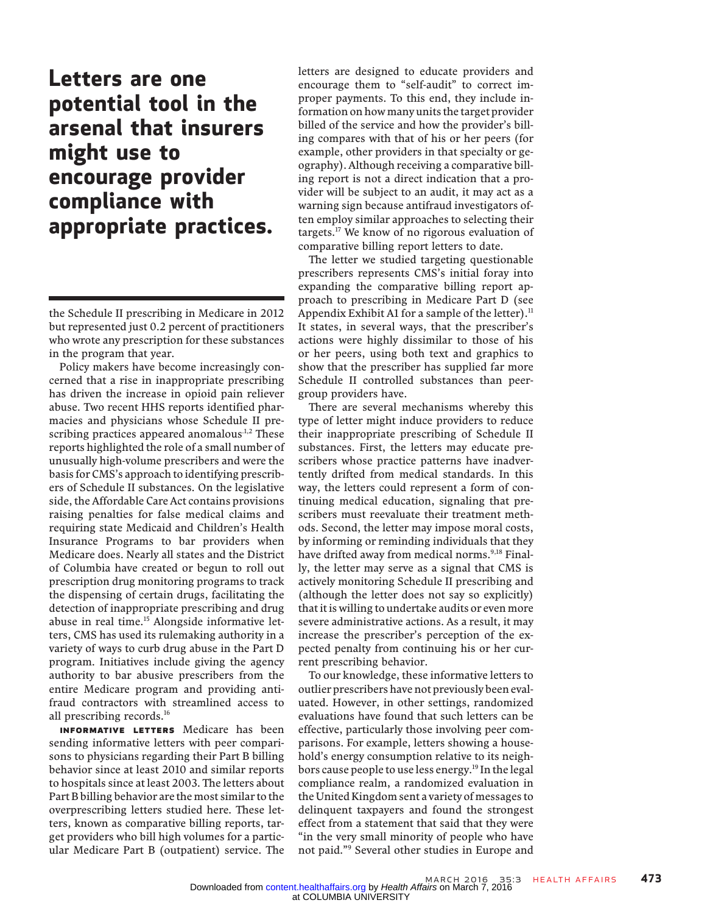### Letters are one potential tool in the arsenal that insurers might use to encourage provider compliance with appropriate practices.

the Schedule II prescribing in Medicare in 2012 but represented just 0.2 percent of practitioners who wrote any prescription for these substances in the program that year.

Policy makers have become increasingly concerned that a rise in inappropriate prescribing has driven the increase in opioid pain reliever abuse. Two recent HHS reports identified pharmacies and physicians whose Schedule II prescribing practices appeared anomalous $1,2$  These reports highlighted the role of a small number of unusually high-volume prescribers and were the basis for CMS's approach to identifying prescribers of Schedule II substances. On the legislative side, the Affordable Care Act contains provisions raising penalties for false medical claims and requiring state Medicaid and Children's Health Insurance Programs to bar providers when Medicare does. Nearly all states and the District of Columbia have created or begun to roll out prescription drug monitoring programs to track the dispensing of certain drugs, facilitating the detection of inappropriate prescribing and drug abuse in real time.<sup>15</sup> Alongside informative letters, CMS has used its rulemaking authority in a variety of ways to curb drug abuse in the Part D program. Initiatives include giving the agency authority to bar abusive prescribers from the entire Medicare program and providing antifraud contractors with streamlined access to all prescribing records.16

Informative Letters Medicare has been sending informative letters with peer comparisons to physicians regarding their Part B billing behavior since at least 2010 and similar reports to hospitals since at least 2003. The letters about Part B billing behavior are the most similar to the overprescribing letters studied here. These letters, known as comparative billing reports, target providers who bill high volumes for a particular Medicare Part B (outpatient) service. The

letters are designed to educate providers and encourage them to "self-audit" to correct improper payments. To this end, they include information on how many units the target provider billed of the service and how the provider's billing compares with that of his or her peers (for example, other providers in that specialty or geography). Although receiving a comparative billing report is not a direct indication that a provider will be subject to an audit, it may act as a warning sign because antifraud investigators often employ similar approaches to selecting their targets.17 We know of no rigorous evaluation of comparative billing report letters to date.

The letter we studied targeting questionable prescribers represents CMS's initial foray into expanding the comparative billing report approach to prescribing in Medicare Part D (see Appendix Exhibit A1 for a sample of the letter).<sup>11</sup> It states, in several ways, that the prescriber's actions were highly dissimilar to those of his or her peers, using both text and graphics to show that the prescriber has supplied far more Schedule II controlled substances than peergroup providers have.

There are several mechanisms whereby this type of letter might induce providers to reduce their inappropriate prescribing of Schedule II substances. First, the letters may educate prescribers whose practice patterns have inadvertently drifted from medical standards. In this way, the letters could represent a form of continuing medical education, signaling that prescribers must reevaluate their treatment methods. Second, the letter may impose moral costs, by informing or reminding individuals that they have drifted away from medical norms.<sup>9,18</sup> Finally, the letter may serve as a signal that CMS is actively monitoring Schedule II prescribing and (although the letter does not say so explicitly) that it is willing to undertake audits or even more severe administrative actions. As a result, it may increase the prescriber's perception of the expected penalty from continuing his or her current prescribing behavior.

To our knowledge, these informative letters to outlier prescribers have not previously been evaluated. However, in other settings, randomized evaluations have found that such letters can be effective, particularly those involving peer comparisons. For example, letters showing a household's energy consumption relative to its neighbors cause people to use less energy.19 In the legal compliance realm, a randomized evaluation in the United Kingdom sent a variety of messages to delinquent taxpayers and found the strongest effect from a statement that said that they were "in the very small minority of people who have not paid."<sup>9</sup> Several other studies in Europe and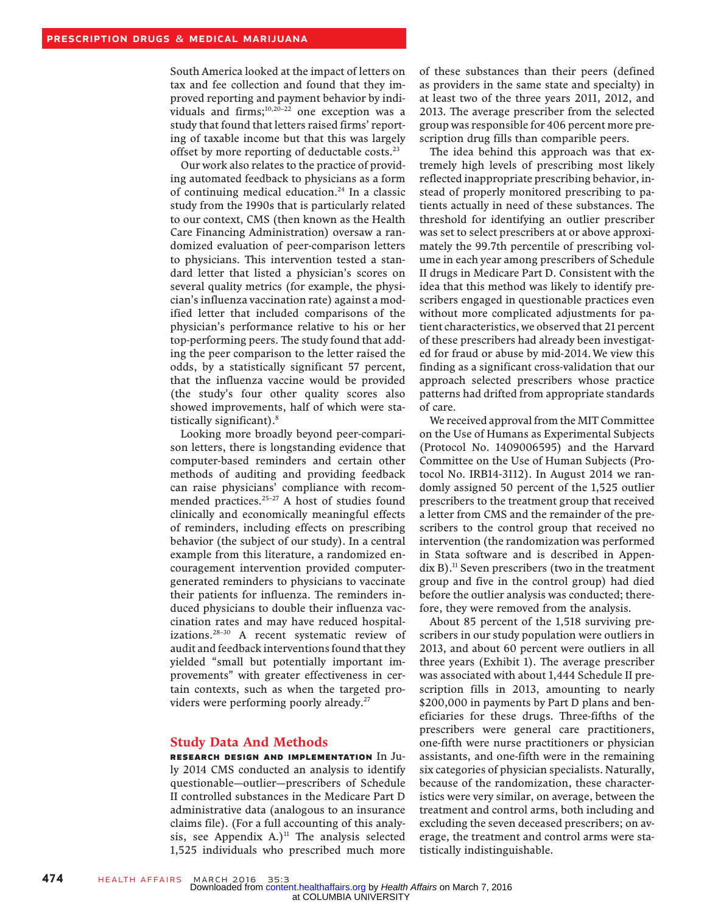South America looked at the impact of letters on tax and fee collection and found that they improved reporting and payment behavior by individuals and firms;<sup>10,20-22</sup> one exception was a study that found that letters raised firms' reporting of taxable income but that this was largely offset by more reporting of deductable costs.23

Our work also relates to the practice of providing automated feedback to physicians as a form of continuing medical education.<sup>24</sup> In a classic study from the 1990s that is particularly related to our context, CMS (then known as the Health Care Financing Administration) oversaw a randomized evaluation of peer-comparison letters to physicians. This intervention tested a standard letter that listed a physician's scores on several quality metrics (for example, the physician's influenza vaccination rate) against a modified letter that included comparisons of the physician's performance relative to his or her top-performing peers. The study found that adding the peer comparison to the letter raised the odds, by a statistically significant 57 percent, that the influenza vaccine would be provided (the study's four other quality scores also showed improvements, half of which were statistically significant).8

Looking more broadly beyond peer-comparison letters, there is longstanding evidence that computer-based reminders and certain other methods of auditing and providing feedback can raise physicians' compliance with recommended practices.25–<sup>27</sup> A host of studies found clinically and economically meaningful effects of reminders, including effects on prescribing behavior (the subject of our study). In a central example from this literature, a randomized encouragement intervention provided computergenerated reminders to physicians to vaccinate their patients for influenza. The reminders induced physicians to double their influenza vaccination rates and may have reduced hospitalizations.28–<sup>30</sup> A recent systematic review of audit and feedback interventions found that they yielded "small but potentially important improvements" with greater effectiveness in certain contexts, such as when the targeted providers were performing poorly already.<sup>27</sup>

#### Study Data And Methods

Research Design And Implementation In July 2014 CMS conducted an analysis to identify questionable—outlier—prescribers of Schedule II controlled substances in the Medicare Part D administrative data (analogous to an insurance claims file). (For a full accounting of this analysis, see Appendix A.)<sup>11</sup> The analysis selected 1,525 individuals who prescribed much more

of these substances than their peers (defined as providers in the same state and specialty) in at least two of the three years 2011, 2012, and 2013. The average prescriber from the selected group was responsible for 406 percent more prescription drug fills than comparible peers.

The idea behind this approach was that extremely high levels of prescribing most likely reflected inappropriate prescribing behavior, instead of properly monitored prescribing to patients actually in need of these substances. The threshold for identifying an outlier prescriber was set to select prescribers at or above approximately the 99.7th percentile of prescribing volume in each year among prescribers of Schedule II drugs in Medicare Part D. Consistent with the idea that this method was likely to identify prescribers engaged in questionable practices even without more complicated adjustments for patient characteristics, we observed that 21 percent of these prescribers had already been investigated for fraud or abuse by mid-2014. We view this finding as a significant cross-validation that our approach selected prescribers whose practice patterns had drifted from appropriate standards of care.

We received approval from the MIT Committee on the Use of Humans as Experimental Subjects (Protocol No. 1409006595) and the Harvard Committee on the Use of Human Subjects (Protocol No. IRB14-3112). In August 2014 we randomly assigned 50 percent of the 1,525 outlier prescribers to the treatment group that received a letter from CMS and the remainder of the prescribers to the control group that received no intervention (the randomization was performed in Stata software and is described in Appen- $\frac{d}{dx}$  B).<sup>11</sup> Seven prescribers (two in the treatment group and five in the control group) had died before the outlier analysis was conducted; therefore, they were removed from the analysis.

About 85 percent of the 1,518 surviving prescribers in our study population were outliers in 2013, and about 60 percent were outliers in all three years (Exhibit 1). The average prescriber was associated with about 1,444 Schedule II prescription fills in 2013, amounting to nearly \$200,000 in payments by Part D plans and beneficiaries for these drugs. Three-fifths of the prescribers were general care practitioners, one-fifth were nurse practitioners or physician assistants, and one-fifth were in the remaining six categories of physician specialists. Naturally, because of the randomization, these characteristics were very similar, on average, between the treatment and control arms, both including and excluding the seven deceased prescribers; on average, the treatment and control arms were statistically indistinguishable.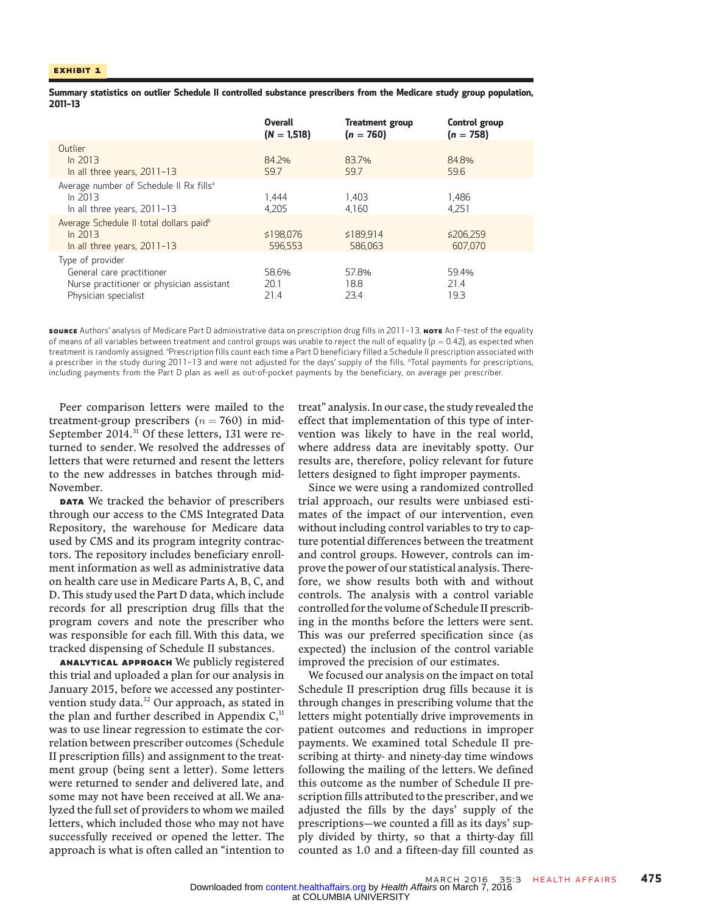|                                                                                                                    | <b>Overall</b><br>$(N = 1,518)$ | <b>Treatment group</b><br>$(n = 760)$ | Control group<br>$(n = 758)$ |
|--------------------------------------------------------------------------------------------------------------------|---------------------------------|---------------------------------------|------------------------------|
| Outlier<br>ln 2013<br>In all three years, $2011 - 13$                                                              | 84.2%<br>59.7                   | 83.7%<br>59.7                         | 84.8%<br>59.6                |
| Average number of Schedule II Rx fills <sup>a</sup><br>ln 2013<br>In all three years, $2011-13$                    | 1.444<br>4.205                  | 1.403<br>4.160                        | 1.486<br>4.251               |
| Average Schedule II total dollars paid <sup>b</sup><br>ln 2013<br>In all three years, $2011-13$                    | \$198,076<br>596.553            | \$189.914<br>586,063                  | \$206,259<br>607.070         |
| Type of provider<br>General care practitioner<br>Nurse practitioner or physician assistant<br>Physician specialist | 58.6%<br>20.1<br>21.4           | 57.8%<br>18.8<br>23.4                 | 59.4%<br>21.4<br>19.3        |

Summary statistics on outlier Schedule II controlled substance prescribers from the Medicare study group population, <sup>2011</sup>–<sup>13</sup>

source Authors' analysis of Medicare Part D administrative data on prescription drug fills in 2011-13. NOTE An F-test of the equality of means of all variables between treatment and control groups was unable to reject the null of equality ( $p = 0.42$ ), as expected when treatment is randomly assigned. ªPrescription fills count each time a Part D beneficiary filled a Schedule II prescription associated with deathent is randomly assigned. Frescription ritis count each time a rart D benerictary nited a Scheddle in prescription associated with<br>a prescriber in the study during 2011–13 and were not adjusted for the days' supply of including payments from the Part D plan as well as out-of-pocket payments by the beneficiary, on average per prescriber.

Peer comparison letters were mailed to the treatment-group prescribers ( $n = 760$ ) in mid-September 2014.<sup>31</sup> Of these letters, 131 were returned to sender. We resolved the addresses of letters that were returned and resent the letters to the new addresses in batches through mid-November.

**DATA** We tracked the behavior of prescribers through our access to the CMS Integrated Data Repository, the warehouse for Medicare data used by CMS and its program integrity contractors. The repository includes beneficiary enrollment information as well as administrative data on health care use in Medicare Parts A, B, C, and D. This study used the Part D data, which include records for all prescription drug fills that the program covers and note the prescriber who was responsible for each fill. With this data, we tracked dispensing of Schedule II substances.

Analytical Approach We publicly registered this trial and uploaded a plan for our analysis in January 2015, before we accessed any postintervention study data.<sup>32</sup> Our approach, as stated in the plan and further described in Appendix  $C<sub>1</sub>$ <sup>11</sup> was to use linear regression to estimate the correlation between prescriber outcomes (Schedule II prescription fills) and assignment to the treatment group (being sent a letter). Some letters were returned to sender and delivered late, and some may not have been received at all.We analyzed the full set of providers to whom we mailed letters, which included those who may not have successfully received or opened the letter. The approach is what is often called an "intention to

treat" analysis. In our case, the study revealed the effect that implementation of this type of intervention was likely to have in the real world, where address data are inevitably spotty. Our results are, therefore, policy relevant for future letters designed to fight improper payments.

Since we were using a randomized controlled trial approach, our results were unbiased estimates of the impact of our intervention, even without including control variables to try to capture potential differences between the treatment and control groups. However, controls can improve the power of our statistical analysis. Therefore, we show results both with and without controls. The analysis with a control variable controlled for the volume of Schedule II prescribing in the months before the letters were sent. This was our preferred specification since (as expected) the inclusion of the control variable improved the precision of our estimates.

We focused our analysis on the impact on total Schedule II prescription drug fills because it is through changes in prescribing volume that the letters might potentially drive improvements in patient outcomes and reductions in improper payments. We examined total Schedule II prescribing at thirty- and ninety-day time windows following the mailing of the letters. We defined this outcome as the number of Schedule II prescription fills attributed to the prescriber, and we adjusted the fills by the days' supply of the prescriptions—we counted a fill as its days' supply divided by thirty, so that a thirty-day fill counted as 1.0 and a fifteen-day fill counted as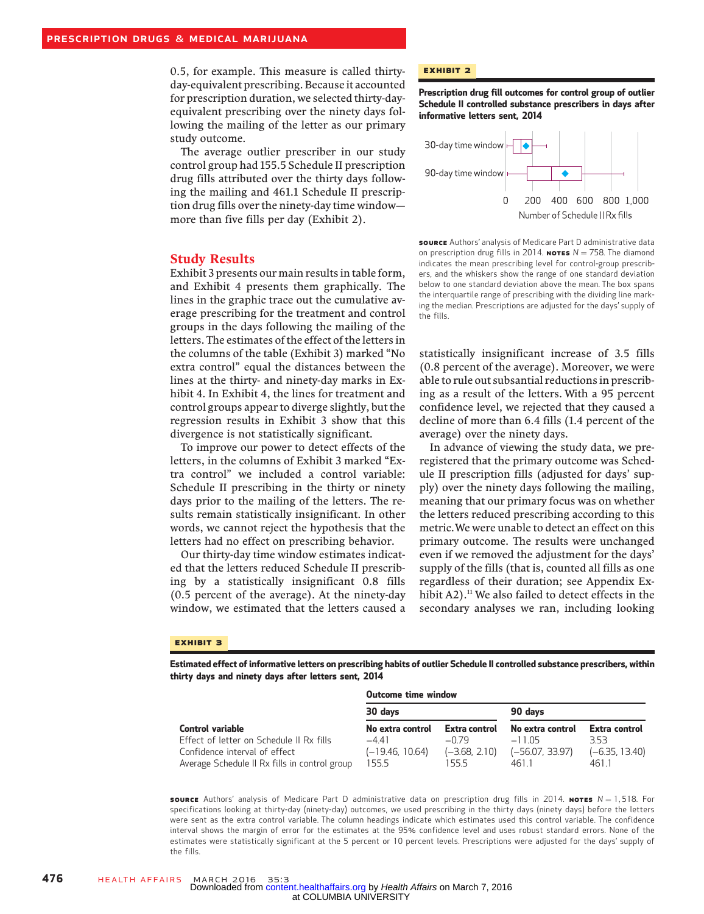0.5, for example. This measure is called thirtyday-equivalent prescribing. Because it accounted for prescription duration, we selected thirty-dayequivalent prescribing over the ninety days following the mailing of the letter as our primary study outcome.

The average outlier prescriber in our study control group had 155.5 Schedule II prescription drug fills attributed over the thirty days following the mailing and 461.1 Schedule II prescription drug fills over the ninety-day time window more than five fills per day (Exhibit 2).

#### Study Results

Exhibit 3 presents our main results in table form, and Exhibit 4 presents them graphically. The lines in the graphic trace out the cumulative average prescribing for the treatment and control groups in the days following the mailing of the letters. The estimates of the effect of the letters in the columns of the table (Exhibit 3) marked "No extra control" equal the distances between the lines at the thirty- and ninety-day marks in Exhibit 4. In Exhibit 4, the lines for treatment and control groups appear to diverge slightly, but the regression results in Exhibit 3 show that this divergence is not statistically significant.

To improve our power to detect effects of the letters, in the columns of Exhibit 3 marked "Extra control" we included a control variable: Schedule II prescribing in the thirty or ninety days prior to the mailing of the letters. The results remain statistically insignificant. In other words, we cannot reject the hypothesis that the letters had no effect on prescribing behavior.

Our thirty-day time window estimates indicated that the letters reduced Schedule II prescribing by a statistically insignificant 0.8 fills (0.5 percent of the average). At the ninety-day window, we estimated that the letters caused a

#### Exhibit 2





**source** Authors' analysis of Medicare Part D administrative data on prescription drug fills in 2014. **NOTES**  $N = 758$ . The diamond indicates the mean prescribing level for control-group prescribers, and the whiskers show the range of one standard deviation below to one standard deviation above the mean. The box spans the interquartile range of prescribing with the dividing line marking the median. Prescriptions are adjusted for the days' supply of the fills.

statistically insignificant increase of 3.5 fills (0.8 percent of the average). Moreover, we were able to rule out subsantial reductions in prescribing as a result of the letters. With a 95 percent confidence level, we rejected that they caused a decline of more than 6.4 fills (1.4 percent of the average) over the ninety days.

In advance of viewing the study data, we preregistered that the primary outcome was Schedule II prescription fills (adjusted for days' supply) over the ninety days following the mailing, meaning that our primary focus was on whether the letters reduced prescribing according to this metric.We were unable to detect an effect on this primary outcome. The results were unchanged even if we removed the adjustment for the days' supply of the fills (that is, counted all fills as one regardless of their duration; see Appendix Exhibit A2). $<sup>11</sup>$  We also failed to detect effects in the</sup> secondary analyses we ran, including looking

#### Exhibit 3

Estimated effect of informative letters on prescribing habits of outlier Schedule II controlled substance prescribers, within thirty days and ninety days after letters sent, 2014

|                                                                                                                                                | <b>Outcome time window</b>                               |                                                     |                                                            |                                                    |
|------------------------------------------------------------------------------------------------------------------------------------------------|----------------------------------------------------------|-----------------------------------------------------|------------------------------------------------------------|----------------------------------------------------|
|                                                                                                                                                | 30 days                                                  |                                                     | 90 days                                                    |                                                    |
| Control variable<br>Effect of letter on Schedule II Rx fills<br>Confidence interval of effect<br>Average Schedule II Rx fills in control group | No extra control<br>$-441$<br>$(-19.46, 10.64)$<br>155.5 | Extra control<br>$-0.79$<br>$(-3.68, 2.10)$<br>1555 | No extra control<br>$-11.05$<br>$(-56.07, 33.97)$<br>461.1 | Extra control<br>3.53<br>$(-6.35, 13.40)$<br>461.1 |

**SOURCE** Authors' analysis of Medicare Part D administrative data on prescription drug fills in 2014. NOTES  $N = 1,518$ . For specifications looking at thirty-day (ninety-day) outcomes, we used prescribing in the thirty days (ninety days) before the letters were sent as the extra control variable. The column headings indicate which estimates used this control variable. The confidence interval shows the margin of error for the estimates at the 95% confidence level and uses robust standard errors. None of the estimates were statistically significant at the 5 percent or 10 percent levels. Prescriptions were adjusted for the days' supply of the fills.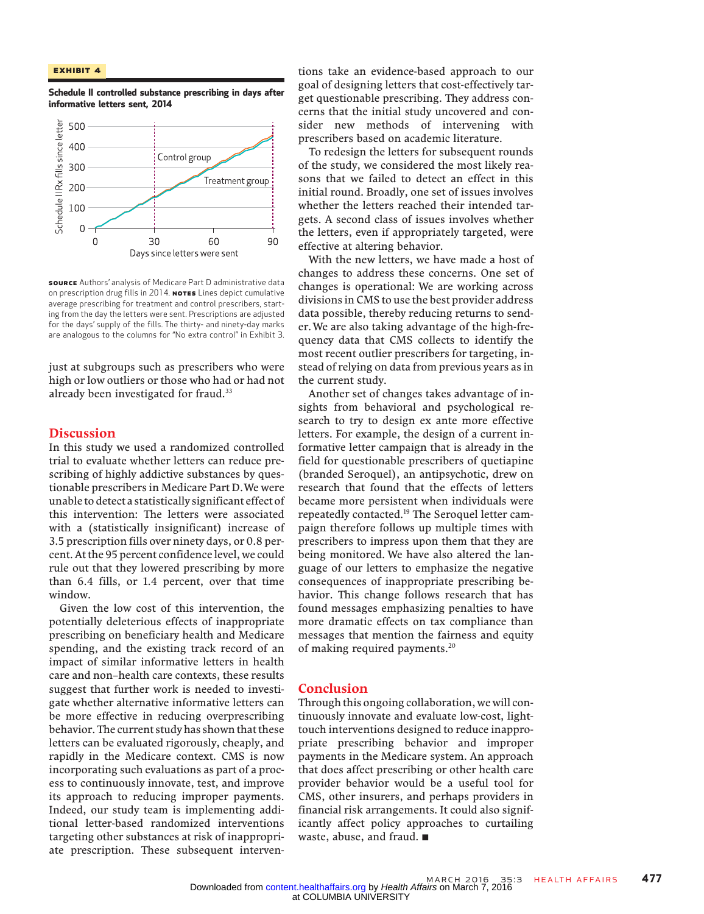#### Exhibit 4

Schedule II controlled substance prescribing in days after informative letters sent, 2014



source Authors' analysis of Medicare Part D administrative data on prescription drug fills in 2014. NoTES Lines depict cumulative average prescribing for treatment and control prescribers, starting from the day the letters were sent. Prescriptions are adjusted for the days' supply of the fills. The thirty- and ninety-day marks are analogous to the columns for "No extra control" in Exhibit 3.

just at subgroups such as prescribers who were high or low outliers or those who had or had not already been investigated for fraud.<sup>33</sup>

#### **Discussion**

In this study we used a randomized controlled trial to evaluate whether letters can reduce prescribing of highly addictive substances by questionable prescribers in Medicare Part D.We were unable to detect a statistically significant effect of this intervention: The letters were associated with a (statistically insignificant) increase of 3.5 prescription fills over ninety days, or 0.8 percent. At the 95 percent confidence level, we could rule out that they lowered prescribing by more than 6.4 fills, or 1.4 percent, over that time window.

Given the low cost of this intervention, the potentially deleterious effects of inappropriate prescribing on beneficiary health and Medicare spending, and the existing track record of an impact of similar informative letters in health care and non–health care contexts, these results suggest that further work is needed to investigate whether alternative informative letters can be more effective in reducing overprescribing behavior. The current study has shown that these letters can be evaluated rigorously, cheaply, and rapidly in the Medicare context. CMS is now incorporating such evaluations as part of a process to continuously innovate, test, and improve its approach to reducing improper payments. Indeed, our study team is implementing additional letter-based randomized interventions targeting other substances at risk of inappropriate prescription. These subsequent interventions take an evidence-based approach to our goal of designing letters that cost-effectively target questionable prescribing. They address concerns that the initial study uncovered and consider new methods of intervening with prescribers based on academic literature.

To redesign the letters for subsequent rounds of the study, we considered the most likely reasons that we failed to detect an effect in this initial round. Broadly, one set of issues involves whether the letters reached their intended targets. A second class of issues involves whether the letters, even if appropriately targeted, were effective at altering behavior.

With the new letters, we have made a host of changes to address these concerns. One set of changes is operational: We are working across divisions in CMS to use the best provider address data possible, thereby reducing returns to sender.We are also taking advantage of the high-frequency data that CMS collects to identify the most recent outlier prescribers for targeting, instead of relying on data from previous years as in the current study.

Another set of changes takes advantage of insights from behavioral and psychological research to try to design ex ante more effective letters. For example, the design of a current informative letter campaign that is already in the field for questionable prescribers of quetiapine (branded Seroquel), an antipsychotic, drew on research that found that the effects of letters became more persistent when individuals were repeatedly contacted.19 The Seroquel letter campaign therefore follows up multiple times with prescribers to impress upon them that they are being monitored. We have also altered the language of our letters to emphasize the negative consequences of inappropriate prescribing behavior. This change follows research that has found messages emphasizing penalties to have more dramatic effects on tax compliance than messages that mention the fairness and equity of making required payments.<sup>20</sup>

#### Conclusion

Through this ongoing collaboration, we will continuously innovate and evaluate low-cost, lighttouch interventions designed to reduce inappropriate prescribing behavior and improper payments in the Medicare system. An approach that does affect prescribing or other health care provider behavior would be a useful tool for CMS, other insurers, and perhaps providers in financial risk arrangements. It could also significantly affect policy approaches to curtailing waste, abuse, and fraud.  $\blacksquare$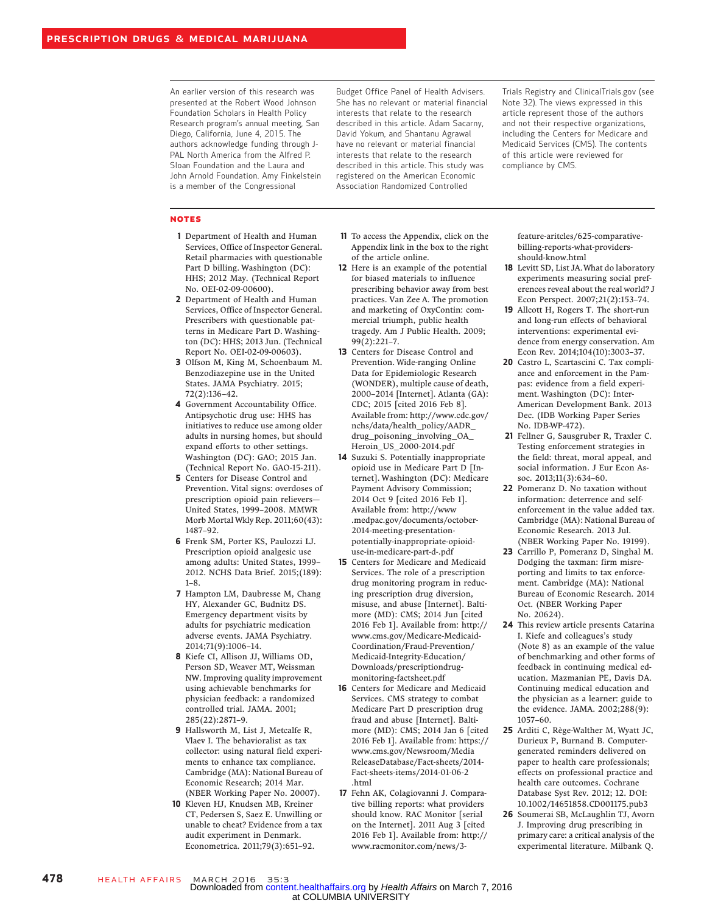An earlier version of this research was presented at the Robert Wood Johnson Foundation Scholars in Health Policy Research program's annual meeting, San Diego, California, June 4, 2015. The authors acknowledge funding through J-PAL North America from the Alfred P. Sloan Foundation and the Laura and John Arnold Foundation. Amy Finkelstein is a member of the Congressional

Budget Office Panel of Health Advisers. She has no relevant or material financial interests that relate to the research described in this article. Adam Sacarny, David Yokum, and Shantanu Agrawal have no relevant or material financial interests that relate to the research described in this article. This study was registered on the American Economic Association Randomized Controlled

Trials Registry and ClinicalTrials.gov (see Note 32). The views expressed in this article represent those of the authors and not their respective organizations, including the Centers for Medicare and Medicaid Services (CMS). The contents of this article were reviewed for compliance by CMS.

#### NOTES

- 1 Department of Health and Human Services, Office of Inspector General. Retail pharmacies with questionable Part D billing. Washington (DC): HHS; 2012 May. (Technical Report No. OEI-02-09-00600).
- 2 Department of Health and Human Services, Office of Inspector General. Prescribers with questionable patterns in Medicare Part D. Washington (DC): HHS; 2013 Jun. (Technical Report No. OEI-02-09-00603).
- 3 Olfson M, King M, Schoenbaum M. Benzodiazepine use in the United States. JAMA Psychiatry. 2015; 72(2):136–42.
- 4 Government Accountability Office. Antipsychotic drug use: HHS has initiatives to reduce use among older adults in nursing homes, but should expand efforts to other settings. Washington (DC): GAO; 2015 Jan. (Technical Report No. GAO-15-211).
- 5 Centers for Disease Control and Prevention. Vital signs: overdoses of prescription opioid pain relievers— United States, 1999–2008. MMWR Morb Mortal Wkly Rep. 2011;60(43): 1487–92.
- 6 Frenk SM, Porter KS, Paulozzi LJ. Prescription opioid analgesic use among adults: United States, 1999– 2012. NCHS Data Brief. 2015;(189): 1–8.
- 7 Hampton LM, Daubresse M, Chang HY, Alexander GC, Budnitz DS. Emergency department visits by adults for psychiatric medication adverse events. JAMA Psychiatry. 2014;71(9):1006–14.
- 8 Kiefe CI, Allison JJ, Williams OD, Person SD, Weaver MT, Weissman NW. Improving quality improvement using achievable benchmarks for physician feedback: a randomized controlled trial. JAMA. 2001; 285(22):2871–9.
- 9 Hallsworth M, List J, Metcalfe R, Vlaev I. The behavioralist as tax collector: using natural field experiments to enhance tax compliance. Cambridge (MA): National Bureau of Economic Research; 2014 Mar. (NBER Working Paper No. 20007).
- 10 Kleven HJ, Knudsen MB, Kreiner CT, Pedersen S, Saez E. Unwilling or unable to cheat? Evidence from a tax audit experiment in Denmark. Econometrica. 2011;79(3):651–92.
- 11 To access the Appendix, click on the Appendix link in the box to the right of the article online.
- 12 Here is an example of the potential for biased materials to influence prescribing behavior away from best practices. Van Zee A. The promotion and marketing of OxyContin: commercial triumph, public health tragedy. Am J Public Health. 2009; 99(2):221–7.
- 13 Centers for Disease Control and Prevention. Wide-ranging Online Data for Epidemiologic Research (WONDER), multiple cause of death, 2000–2014 [Internet]. Atlanta (GA): CDC; 2015 [cited 2016 Feb 8]. Available from: http://www.cdc.gov/ nchs/data/health\_policy/AADR\_ drug\_poisoning\_involving\_OA\_ Heroin\_US\_2000-2014.pdf
- 14 Suzuki S. Potentially inappropriate opioid use in Medicare Part D [Internet]. Washington (DC): Medicare Payment Advisory Commission; 2014 Oct 9 [cited 2016 Feb 1]. Available from: http://www .medpac.gov/documents/october-2014-meeting-presentationpotentially-inappropriate-opioiduse-in-medicare-part-d-.pdf
- 15 Centers for Medicare and Medicaid Services. The role of a prescription drug monitoring program in reducing prescription drug diversion, misuse, and abuse [Internet]. Baltimore (MD): CMS; 2014 Jun [cited 2016 Feb 1]. Available from: http:// www.cms.gov/Medicare-Medicaid-Coordination/Fraud-Prevention/ Medicaid-Integrity-Education/ Downloads/prescriptiondrugmonitoring-factsheet.pdf
- 16 Centers for Medicare and Medicaid Services. CMS strategy to combat Medicare Part D prescription drug fraud and abuse [Internet]. Baltimore (MD): CMS; 2014 Jan 6 [cited 2016 Feb 1]. Available from: https:// www.cms.gov/Newsroom/Media ReleaseDatabase/Fact-sheets/2014- Fact-sheets-items/2014-01-06-2 .html
- 17 Fehn AK, Colagiovanni J. Comparative billing reports: what providers should know. RAC Monitor [serial on the Internet]. 2011 Aug 3 [cited 2016 Feb 1]. Available from: http:// www.racmonitor.com/news/3-

feature-aritcles/625-comparativebilling-reports-what-providersshould-know.html

- 18 Levitt SD, List JA. What do laboratory experiments measuring social preferences reveal about the real world? J Econ Perspect. 2007;21(2):153–74.
- 19 Allcott H, Rogers T. The short-run and long-run effects of behavioral interventions: experimental evidence from energy conservation. Am Econ Rev. 2014;104(10):3003–37.
- 20 Castro L, Scartascini C. Tax compliance and enforcement in the Pampas: evidence from a field experiment. Washington (DC): Inter-American Development Bank. 2013 Dec. (IDB Working Paper Series No. IDB-WP-472).
- 21 Fellner G, Sausgruber R, Traxler C. Testing enforcement strategies in the field: threat, moral appeal, and social information. J Eur Econ Assoc. 2013;11(3):634–60.
- 22 Pomeranz D. No taxation without information: deterrence and selfenforcement in the value added tax. Cambridge (MA): National Bureau of Economic Research. 2013 Jul. (NBER Working Paper No. 19199).
- 23 Carrillo P, Pomeranz D, Singhal M. Dodging the taxman: firm misreporting and limits to tax enforcement. Cambridge (MA): National Bureau of Economic Research. 2014 Oct. (NBER Working Paper No. 20624).
- 24 This review article presents Catarina I. Kiefe and colleagues's study (Note 8) as an example of the value of benchmarking and other forms of feedback in continuing medical education. Mazmanian PE, Davis DA. Continuing medical education and the physician as a learner: guide to the evidence. JAMA. 2002;288(9): 1057–60.
- 25 Arditi C, Rège-Walther M, Wyatt JC, Durieux P, Burnand B. Computergenerated reminders delivered on paper to health care professionals; effects on professional practice and health care outcomes. Cochrane Database Syst Rev. 2012; 12. DOI: 10.1002/14651858.CD001175.pub3
- 26 Soumerai SB, McLaughlin TJ, Avorn J. Improving drug prescribing in primary care: a critical analysis of the experimental literature. Milbank Q.